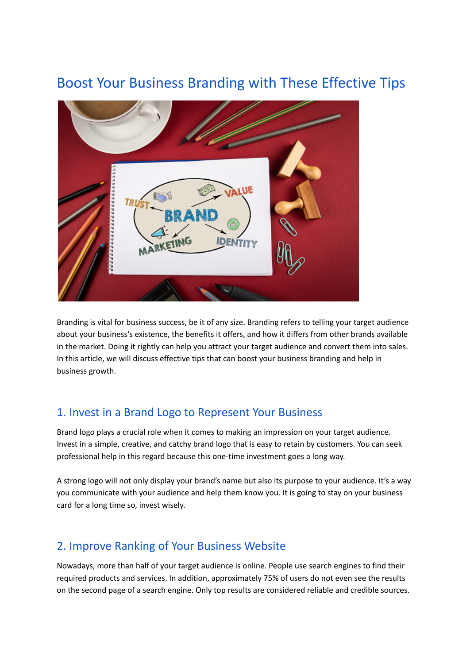# Boost Your Business Branding with These Effective Tips



Branding is vital for business success, be it of any size. Branding refers to telling your target audience about your business's existence, the benefits it offers, and how it differs from other brands available in the market. Doing it rightly can help you attract your target audience and convert them into sales. In this article, we will discuss effective tips that can boost your business branding and help in business growth.

#### 1. Invest in a Brand Logo to Represent Your Business

Brand logo plays a crucial role when it comes to making an impression on your target audience. Invest in a simple, creative, and catchy brand logo that is easy to retain by customers. You can seek professional help in this regard because this one-time investment goes a long way.

A strong logo will not only display your brand's name but also its purpose to your audience. It's a way you communicate with your audience and help them know you. It is going to stay on your business card for a long time so, invest wisely.

### 2. Improve Ranking of Your Business Website

Nowadays, more than half of your target audience is online. People use search engines to find their required products and services. In addition, approximately 75% of users do not even see the results on the second page of a search engine. Only top results are considered reliable and credible sources.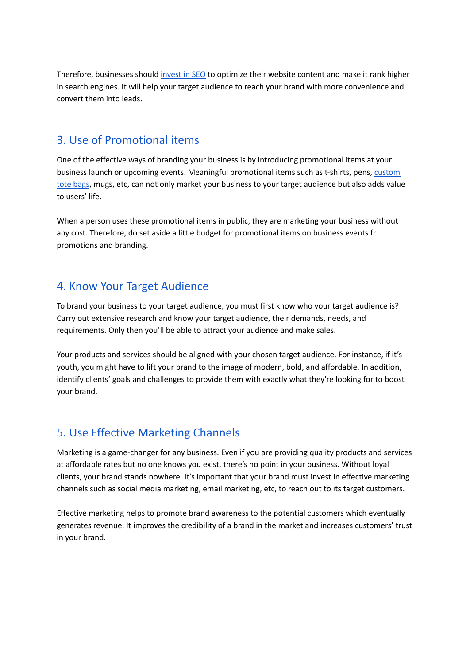Therefore, businesses should [invest](https://searchengineland.com/guide/what-is-seo) in SEO to optimize their website content and make it rank higher in search engines. It will help your target audience to reach your brand with more convenience and convert them into leads.

#### 3. Use of Promotional items

One of the effective ways of branding your business is by introducing promotional items at your business launch or upcoming events. Meaningful promotional items such as t-shirts, pens, [custom](https://www.bagmasters.com/category/custom-totes) tote [bags](https://www.bagmasters.com/category/custom-totes), mugs, etc, can not only market your business to your target audience but also adds value to users' life.

When a person uses these promotional items in public, they are marketing your business without any cost. Therefore, do set aside a little budget for promotional items on business events fr promotions and branding.

#### 4. Know Your Target Audience

To brand your business to your target audience, you must first know who your target audience is? Carry out extensive research and know your target audience, their demands, needs, and requirements. Only then you'll be able to attract your audience and make sales.

Your products and services should be aligned with your chosen target audience. For instance, if it's youth, you might have to lift your brand to the image of modern, bold, and affordable. In addition, identify clients' goals and challenges to provide them with exactly what they're looking for to boost your brand.

## 5. Use Effective Marketing Channels

Marketing is a game-changer for any business. Even if you are providing quality products and services at affordable rates but no one knows you exist, there's no point in your business. Without loyal clients, your brand stands nowhere. It's important that your brand must invest in effective marketing channels such as social media marketing, email marketing, etc, to reach out to its target customers.

Effective marketing helps to promote brand awareness to the potential customers which eventually generates revenue. It improves the credibility of a brand in the market and increases customers' trust in your brand.